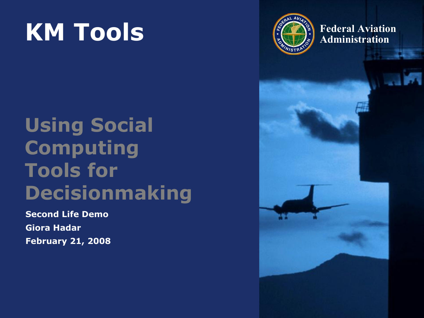#### **KM Tools Example 1 Example 1 Example 1 Administration**

#### **Using Social Computing Tools for Decisionmaking**

**Second Life Demo Giora Hadar February 21, 2008**

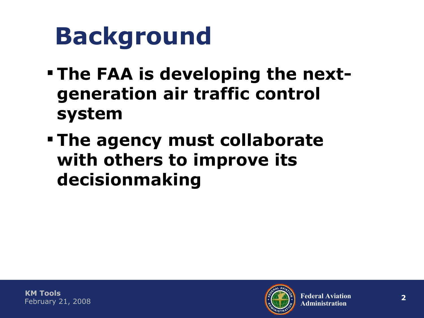### **Background**

- **The FAA is developing the nextgeneration air traffic control system**
- **The agency must collaborate with others to improve its decisionmaking**

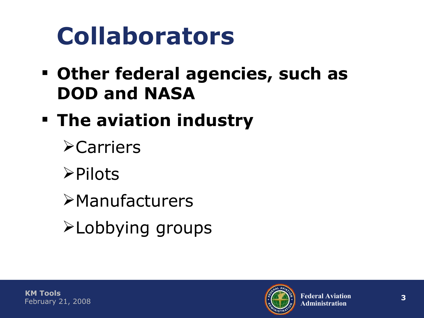### **Collaborators**

- **Other federal agencies, such as DOD and NASA**
- **The aviation industry**
	- **≻Carriers**
	- $\triangleright$ Pilots
	- **>Manufacturers**
	- Lobbying groups

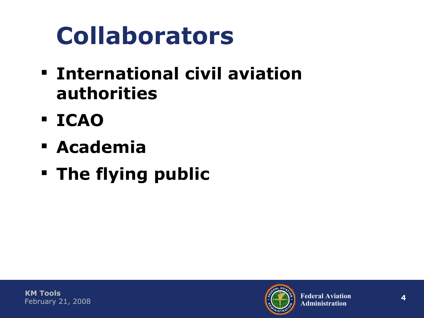# **Collaborators**

- **International civil aviation authorities**
- **ICAO**
- **Academia**
- **The flying public**

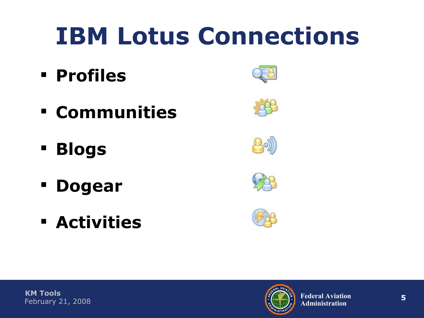## **IBM Lotus Connections**

- **Profiles**
- **Communities**
- **Blogs**
- **Dogear**
- **Activities**











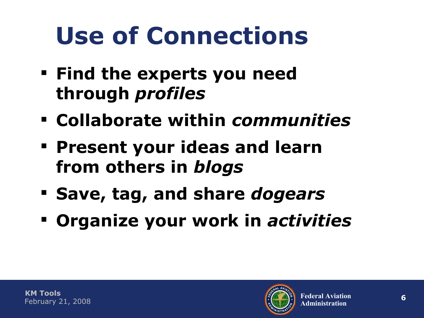# **Use of Connections**

- **Find the experts you need through** *profiles*
- **Collaborate within** *communities*
- **Present your ideas and learn from others in** *blogs*
- **Save, tag, and share** *dogears*
- **Organize your work in** *activities*

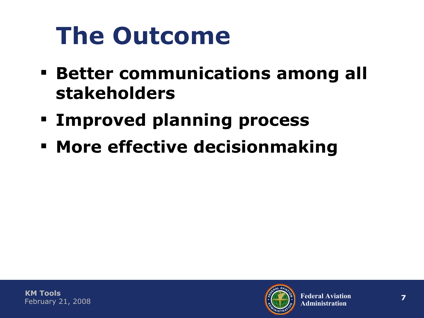# **The Outcome**

- **Better communications among all stakeholders**
- **Improved planning process**
- **More effective decisionmaking**

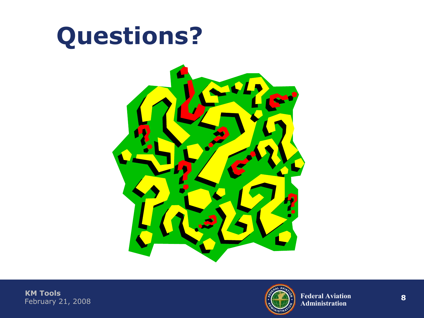#### **Questions?**